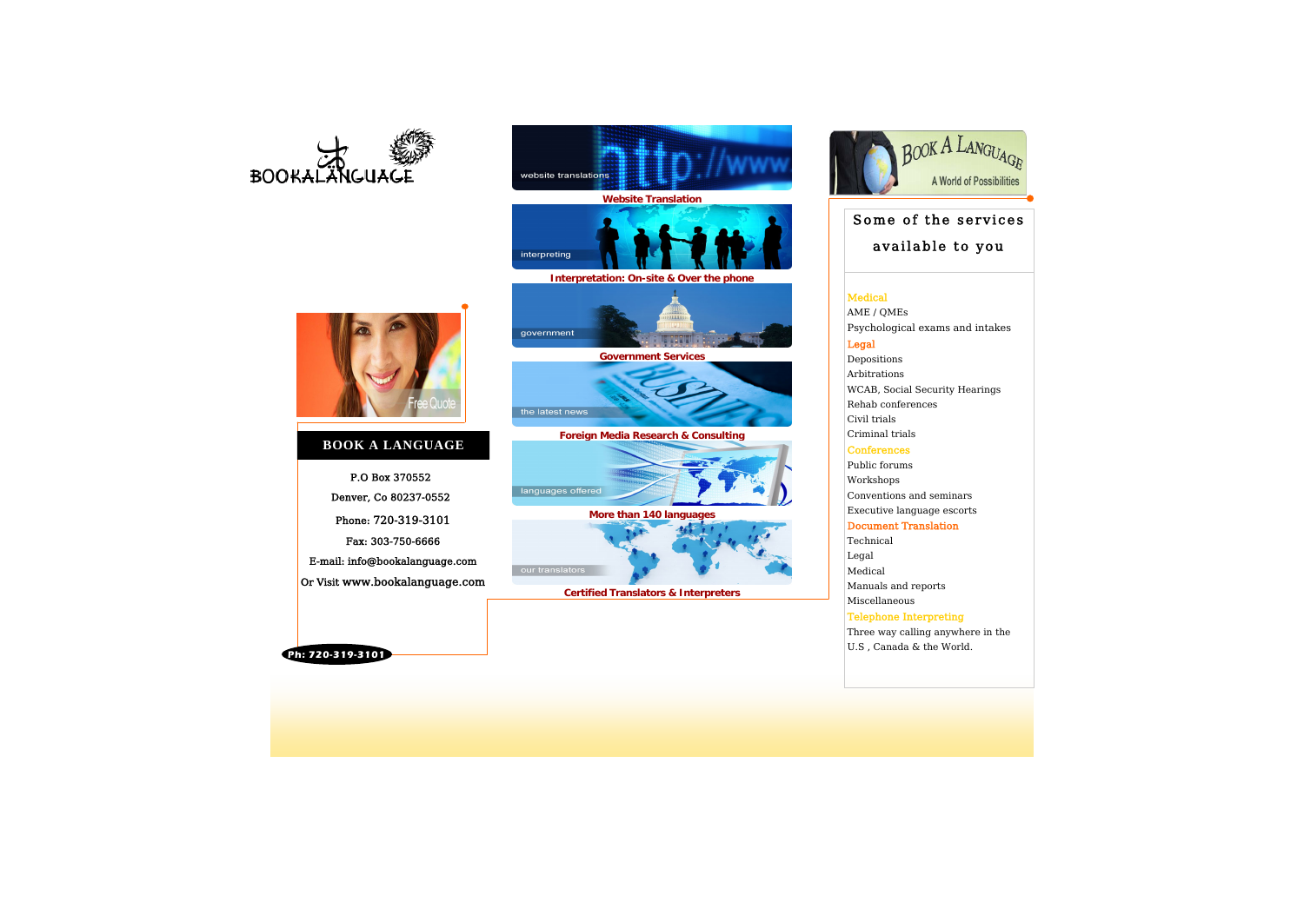#### Medical

AME / QMEs Psychological exams and int Legal

#### Depositions Arbitrations WCAB, Social Security Hearin Rehab conferences Civil trials Criminal trials

#### Conferences

Three way calling anywhere U.S , Canada & the World.



Public forums Workshops Conventions and seminars Executive language escorts

#### Document Translation

Technical Legal Medical Manuals and reports Miscellaneous Telephone Interpreting

Phone: 720-319-3101 Fax: 303-750-6666 E-mail: info@bookalanguage.com Or Visit www.bookalanguage.com P.O Box 370552 Denver, Co 80237-0552

**Ph: 720-319-3101** 

| GUAGE<br>ssibilities |  |
|----------------------|--|
| vices                |  |
| ou                   |  |
| takes                |  |
| ngs                  |  |
|                      |  |
|                      |  |
|                      |  |
| in the               |  |
|                      |  |

### **BOOK A LANGUAGE**





# **Website Translation**



**Interpretation: On-site & Over the phone**



**Government Services** 



**Foreign Media Research & Consulting** 



**More than 140 languages** 



**Certified Translators & Interpreters** 



## Some of the serv available to yo